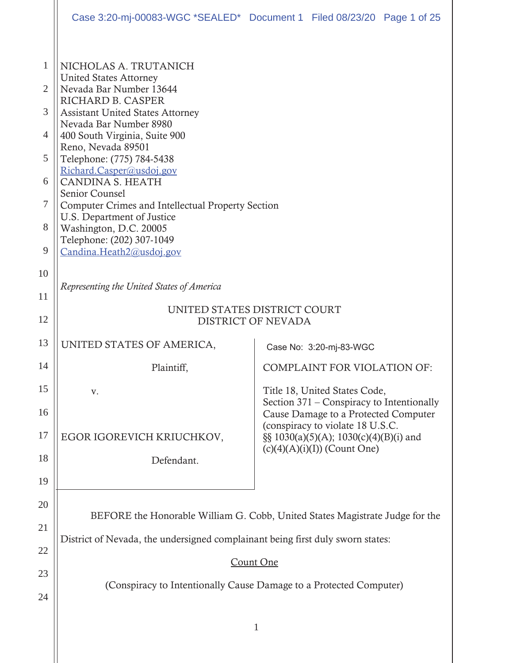|                                      |                                                                                                                                                                                                                                                                                                                                                                                                                                                                                           | Case 3:20-mj-00083-WGC *SEALED* Document 1 Filed 08/23/20 Page 1 of 25            |
|--------------------------------------|-------------------------------------------------------------------------------------------------------------------------------------------------------------------------------------------------------------------------------------------------------------------------------------------------------------------------------------------------------------------------------------------------------------------------------------------------------------------------------------------|-----------------------------------------------------------------------------------|
| 1<br>2<br>3<br>4<br>5<br>6<br>7<br>8 | NICHOLAS A. TRUTANICH<br><b>United States Attorney</b><br>Nevada Bar Number 13644<br>RICHARD B. CASPER<br><b>Assistant United States Attorney</b><br>Nevada Bar Number 8980<br>400 South Virginia, Suite 900<br>Reno, Nevada 89501<br>Telephone: (775) 784-5438<br>Richard.Casper@usdoj.gov<br><b>CANDINA S. HEATH</b><br>Senior Counsel<br><b>Computer Crimes and Intellectual Property Section</b><br>U.S. Department of Justice<br>Washington, D.C. 20005<br>Telephone: (202) 307-1049 |                                                                                   |
| 9                                    | Candina.Heath2@usdoj.gov                                                                                                                                                                                                                                                                                                                                                                                                                                                                  |                                                                                   |
| 10<br>11                             | Representing the United States of America                                                                                                                                                                                                                                                                                                                                                                                                                                                 |                                                                                   |
| 12                                   | UNITED STATES DISTRICT COURT<br><b>DISTRICT OF NEVADA</b>                                                                                                                                                                                                                                                                                                                                                                                                                                 |                                                                                   |
| 13                                   | UNITED STATES OF AMERICA,                                                                                                                                                                                                                                                                                                                                                                                                                                                                 | Case No: 3:20-mj-83-WGC                                                           |
| 14                                   | Plaintiff,                                                                                                                                                                                                                                                                                                                                                                                                                                                                                | <b>COMPLAINT FOR VIOLATION OF:</b>                                                |
| 15                                   | V.                                                                                                                                                                                                                                                                                                                                                                                                                                                                                        | Title 18, United States Code,                                                     |
| 16                                   |                                                                                                                                                                                                                                                                                                                                                                                                                                                                                           | Section 371 – Conspiracy to Intentionally<br>Cause Damage to a Protected Computer |
| 17                                   | EGOR IGOREVICH KRIUCHKOV,                                                                                                                                                                                                                                                                                                                                                                                                                                                                 | (conspiracy to violate 18 U.S.C.<br>§§ 1030(a)(5)(A); 1030(c)(4)(B)(i) and        |
| 18                                   | Defendant.                                                                                                                                                                                                                                                                                                                                                                                                                                                                                | $(c)(4)(A)(i)(I))$ (Count One)                                                    |
| 19                                   |                                                                                                                                                                                                                                                                                                                                                                                                                                                                                           |                                                                                   |
| 20                                   |                                                                                                                                                                                                                                                                                                                                                                                                                                                                                           |                                                                                   |
| 21                                   | BEFORE the Honorable William G. Cobb, United States Magistrate Judge for the                                                                                                                                                                                                                                                                                                                                                                                                              |                                                                                   |
| 22                                   | District of Nevada, the undersigned complainant being first duly sworn states:                                                                                                                                                                                                                                                                                                                                                                                                            |                                                                                   |
| 23                                   | Count One                                                                                                                                                                                                                                                                                                                                                                                                                                                                                 |                                                                                   |
| 24                                   | (Conspiracy to Intentionally Cause Damage to a Protected Computer)                                                                                                                                                                                                                                                                                                                                                                                                                        |                                                                                   |
|                                      |                                                                                                                                                                                                                                                                                                                                                                                                                                                                                           | 1                                                                                 |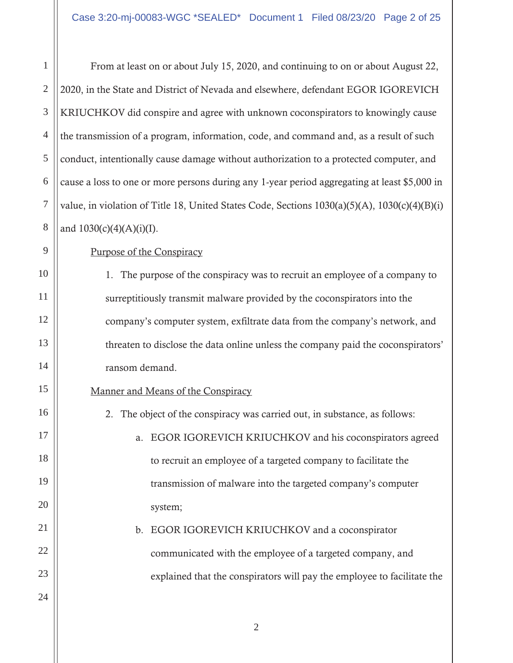1 2 3 4 5 6 7 8 From at least on or about July 15, 2020, and continuing to on or about August 22, 2020, in the State and District of Nevada and elsewhere, defendant EGOR IGOREVICH KRIUCHKOV did conspire and agree with unknown coconspirators to knowingly cause the transmission of a program, information, code, and command and, as a result of such conduct, intentionally cause damage without authorization to a protected computer, and cause a loss to one or more persons during any 1-year period aggregating at least \$5,000 in value, in violation of Title 18, United States Code, Sections 1030(a)(5)(A), 1030(c)(4)(B)(i) and  $1030(c)(4)(A)(i)(I)$ .

Purpose of the Conspiracy

9

10

11

12

13

14

15

16

17

18

19

20

21

22

23

24

1. The purpose of the conspiracy was to recruit an employee of a company to surreptitiously transmit malware provided by the coconspirators into the company's computer system, exfiltrate data from the company's network, and threaten to disclose the data online unless the company paid the coconspirators' ransom demand.

### Manner and Means of the Conspiracy

2. The object of the conspiracy was carried out, in substance, as follows:

a. EGOR IGOREVICH KRIUCHKOV and his coconspirators agreed to recruit an employee of a targeted company to facilitate the transmission of malware into the targeted company's computer system;

b. EGOR IGOREVICH KRIUCHKOV and a coconspirator communicated with the employee of a targeted company, and explained that the conspirators will pay the employee to facilitate the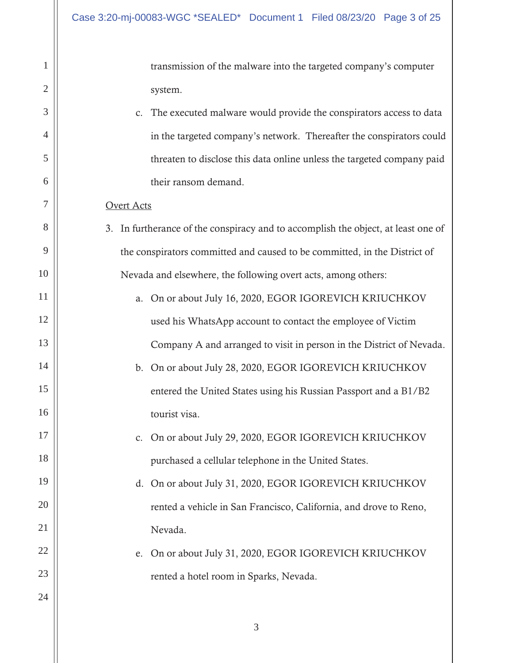transmission of the malware into the targeted company's computer system.

c. The executed malware would provide the conspirators access to data in the targeted company's network. Thereafter the conspirators could threaten to disclose this data online unless the targeted company paid their ransom demand.

### Overt Acts

1

2

3

4

5

6

7

8

9

10

11

12

13

14

15

16

17

18

19

20

21

22

23

24

- 3. In furtherance of the conspiracy and to accomplish the object, at least one of the conspirators committed and caused to be committed, in the District of Nevada and elsewhere, the following overt acts, among others:
	- a. On or about July 16, 2020, EGOR IGOREVICH KRIUCHKOV used his WhatsApp account to contact the employee of Victim Company A and arranged to visit in person in the District of Nevada.
	- b. On or about July 28, 2020, EGOR IGOREVICH KRIUCHKOV entered the United States using his Russian Passport and a B1/B2 tourist visa.
		- c. On or about July 29, 2020, EGOR IGOREVICH KRIUCHKOV purchased a cellular telephone in the United States.
		- d. On or about July 31, 2020, EGOR IGOREVICH KRIUCHKOV rented a vehicle in San Francisco, California, and drove to Reno, Nevada.
			- e. On or about July 31, 2020, EGOR IGOREVICH KRIUCHKOV rented a hotel room in Sparks, Nevada.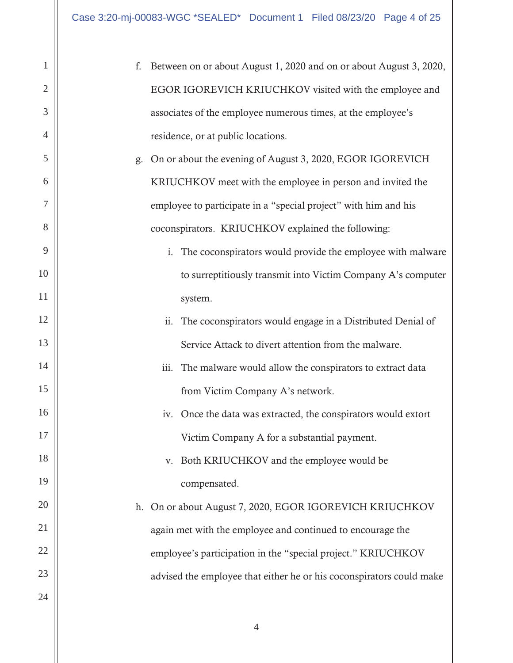| $\mathbf{1}$   | Between on or about August 1, 2020 and on or about August 3, 2020,<br>f.  |  |
|----------------|---------------------------------------------------------------------------|--|
| $\overline{2}$ | EGOR IGOREVICH KRIUCHKOV visited with the employee and                    |  |
| 3              | associates of the employee numerous times, at the employee's              |  |
| $\overline{4}$ | residence, or at public locations.                                        |  |
| 5              | On or about the evening of August 3, 2020, EGOR IGOREVICH<br>g.           |  |
| 6              | KRIUCHKOV meet with the employee in person and invited the                |  |
| 7              | employee to participate in a "special project" with him and his           |  |
| 8              | coconspirators. KRIUCHKOV explained the following:                        |  |
| 9              | The coconspirators would provide the employee with malware<br>$\dot{1}$ . |  |
| 10             | to surreptitiously transmit into Victim Company A's computer              |  |
| 11             | system.                                                                   |  |
| 12             | ii.<br>The coconspirators would engage in a Distributed Denial of         |  |
| 13             | Service Attack to divert attention from the malware.                      |  |
| 14             | The malware would allow the conspirators to extract data<br>iii.          |  |
| 15             | from Victim Company A's network.                                          |  |
| 16             | iv. Once the data was extracted, the conspirators would extort            |  |
| 17             | Victim Company A for a substantial payment.                               |  |
| 18             | Both KRIUCHKOV and the employee would be<br>V.                            |  |
| 19             | compensated.                                                              |  |
| 20             | h. On or about August 7, 2020, EGOR IGOREVICH KRIUCHKOV                   |  |
| 21             | again met with the employee and continued to encourage the                |  |
| 22             | employee's participation in the "special project." KRIUCHKOV              |  |
| 23             | advised the employee that either he or his coconspirators could make      |  |
| 24             |                                                                           |  |
|                |                                                                           |  |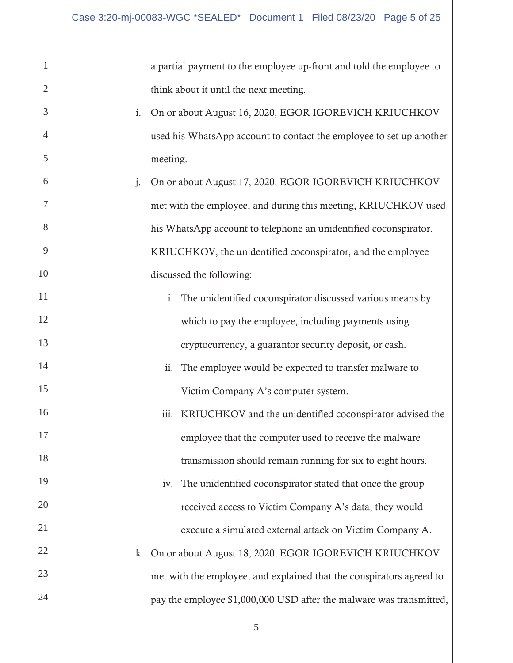1

2

3

4

5

6

7

8

9

10

11

12

13

14

15

16

17

18

19

20

21

22

23

24

a partial payment to the employee up-front and told the employee to think about it until the next meeting.

- i. On or about August 16, 2020, EGOR IGOREVICH KRIUCHKOV used his WhatsApp account to contact the employee to set up another meeting.
- j. On or about August 17, 2020, EGOR IGOREVICH KRIUCHKOV met with the employee, and during this meeting, KRIUCHKOV used his WhatsApp account to telephone an unidentified coconspirator. KRIUCHKOV, the unidentified coconspirator, and the employee discussed the following:
	- i. The unidentified coconspirator discussed various means by which to pay the employee, including payments using cryptocurrency, a guarantor security deposit, or cash.
	- ii. The employee would be expected to transfer malware to Victim Company A's computer system.
	- transmission should remain running for six to eight hours. iii. KRIUCHKOV and the unidentified coconspirator advised the employee that the computer used to receive the malware
- iv. The unidentified coconspirator stated that once the group received access to Victim Company A's data, they would execute a simulated external attack on Victim Company A.
	- k. On or about August 18, 2020, EGOR IGOREVICH KRIUCHKOV met with the employee, and explained that the conspirators agreed to pay the employee \$1,000,000 USD after the malware was transmitted,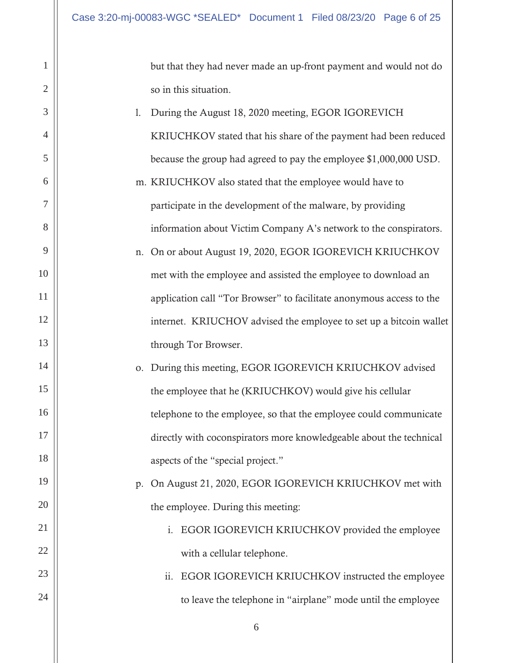1

2

3

4

5

6

7

8

9

10

11

12

13

14

15

16

17

18

19

20

21

22

23

24

but that they had never made an up-front payment and would not do so in this situation.

- l. During the August 18, 2020 meeting, EGOR IGOREVICH KRIUCHKOV stated that his share of the payment had been reduced because the group had agreed to pay the employee \$1,000,000 USD.
- m. KRIUCHKOV also stated that the employee would have to participate in the development of the malware, by providing information about Victim Company A's network to the conspirators.
- n. On or about August 19, 2020, EGOR IGOREVICH KRIUCHKOV met with the employee and assisted the employee to download an application call "Tor Browser" to facilitate anonymous access to the internet. KRIUCHOV advised the employee to set up a bitcoin wallet through Tor Browser.
- o. During this meeting, EGOR IGOREVICH KRIUCHKOV advised the employee that he (KRIUCHKOV) would give his cellular telephone to the employee, so that the employee could communicate directly with coconspirators more knowledgeable about the technical aspects of the "special project."
	- the employee. During this meeting: p. On August 21, 2020, EGOR IGOREVICH KRIUCHKOV met with
		- i. EGOR IGOREVICH KRIUCHKOV provided the employee with a cellular telephone.

# ii. EGOR IGOREVICH KRIUCHKOV instructed the employee to leave the telephone in "airplane" mode until the employee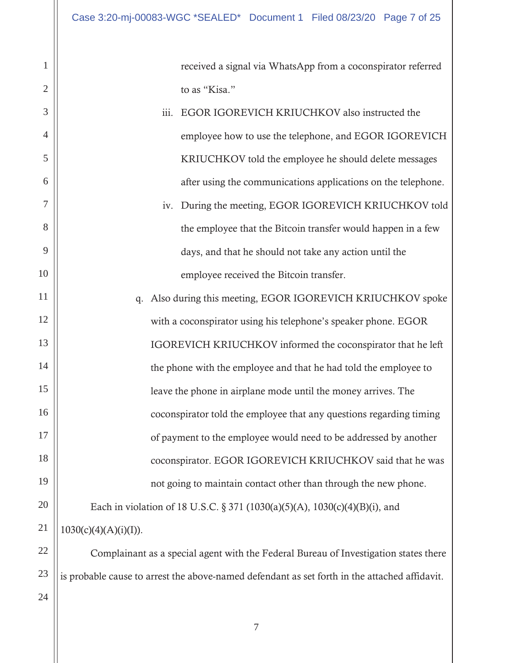received a signal via WhatsApp from a coconspirator referred to as "Kisa."

- iii. EGOR IGOREVICH KRIUCHKOV also instructed the employee how to use the telephone, and EGOR IGOREVICH KRIUCHKOV told the employee he should delete messages after using the communications applications on the telephone.
- employee received the Bitcoin transfer. iv. During the meeting, EGOR IGOREVICH KRIUCHKOV told the employee that the Bitcoin transfer would happen in a few days, and that he should not take any action until the

not going to maintain contact other than through the new phone. 11 12 13 14 15 16 17 18 19 20 21 q. Also during this meeting, EGOR IGOREVICH KRIUCHKOV spoke with a coconspirator using his telephone's speaker phone. EGOR IGOREVICH KRIUCHKOV informed the coconspirator that he left the phone with the employee and that he had told the employee to leave the phone in airplane mode until the money arrives. The coconspirator told the employee that any questions regarding timing of payment to the employee would need to be addressed by another coconspirator. EGOR IGOREVICH KRIUCHKOV said that he was Each in violation of 18 U.S.C. § 371 (1030(a)(5)(A), 1030(c)(4)(B)(i), and

 $1030(c)(4)(A)(i)(I)).$ 

Complainant as a special agent with the Federal Bureau of Investigation states there is probable cause to arrest the above-named defendant as set forth in the attached affidavit.

24

22

23

1

2

3

4

5

6

7

8

9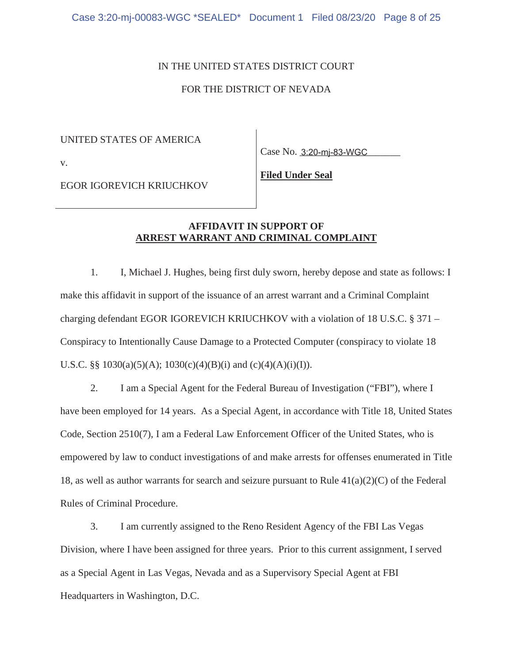### IN THE UNITED STATES DISTRICT COURT

### FOR THE DISTRICT OF NEVADA

UNITED STATES OF AMERICA

v.

Case No. 3:20-mj-83-WGC

EGOR IGOREVICH KRIUCHKOV

**Filed Under Seal** 

### **AFFIDAVIT IN SUPPORT OF ARREST WARRANT AND CRIMINAL COMPLAINT**

1. I, Michael J. Hughes, being first duly sworn, hereby depose and state as follows: I make this affidavit in support of the issuance of an arrest warrant and a Criminal Complaint charging defendant EGOR IGOREVICH KRIUCHKOV with a violation of 18 U.S.C. § 371 – Conspiracy to Intentionally Cause Damage to a Protected Computer (conspiracy to violate 18 U.S.C. §§ 1030(a)(5)(A); 1030(c)(4)(B)(i) and (c)(4)(A)(i)(I)).

2. I am a Special Agent for the Federal Bureau of Investigation ("FBI"), where I have been employed for 14 years. As a Special Agent, in accordance with Title 18, United States Code, Section 2510(7), I am a Federal Law Enforcement Officer of the United States, who is empowered by law to conduct investigations of and make arrests for offenses enumerated in Title 18, as well as author warrants for search and seizure pursuant to Rule 41(a)(2)(C) of the Federal Rules of Criminal Procedure.

3. I am currently assigned to the Reno Resident Agency of the FBI Las Vegas Division, where I have been assigned for three years. Prior to this current assignment, I served as a Special Agent in Las Vegas, Nevada and as a Supervisory Special Agent at FBI Headquarters in Washington, D.C.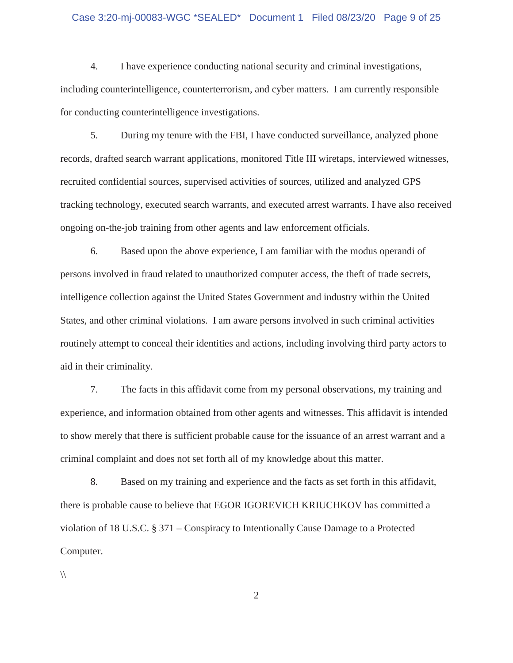### Case 3:20-mj-00083-WGC \*SEALED\* Document 1 Filed 08/23/20 Page 9 of 25

4. I have experience conducting national security and criminal investigations, including counterintelligence, counterterrorism, and cyber matters. I am currently responsible for conducting counterintelligence investigations.

5. During my tenure with the FBI, I have conducted surveillance, analyzed phone records, drafted search warrant applications, monitored Title III wiretaps, interviewed witnesses, recruited confidential sources, supervised activities of sources, utilized and analyzed GPS tracking technology, executed search warrants, and executed arrest warrants. I have also received ongoing on-the-job training from other agents and law enforcement officials.

6. Based upon the above experience, I am familiar with the modus operandi of persons involved in fraud related to unauthorized computer access, the theft of trade secrets, intelligence collection against the United States Government and industry within the United States, and other criminal violations. I am aware persons involved in such criminal activities routinely attempt to conceal their identities and actions, including involving third party actors to aid in their criminality.

7. The facts in this affidavit come from my personal observations, my training and experience, and information obtained from other agents and witnesses. This affidavit is intended to show merely that there is sufficient probable cause for the issuance of an arrest warrant and a criminal complaint and does not set forth all of my knowledge about this matter.

8. Based on my training and experience and the facts as set forth in this affidavit, there is probable cause to believe that EGOR IGOREVICH KRIUCHKOV has committed a violation of 18 U.S.C. § 371 – Conspiracy to Intentionally Cause Damage to a Protected Computer.

 $\sqrt{ }$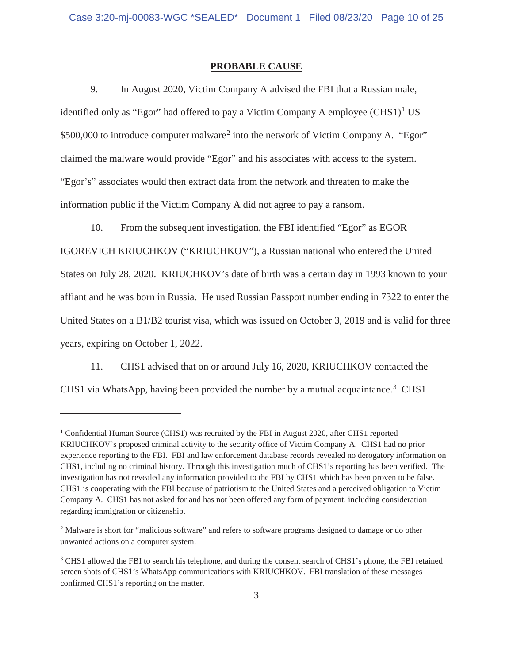### **PROBABLE CAUSE**

9. In August 2020, Victim Company A advised the FBI that a Russian male, identified only as "Egor" had offered to pay a Victim Company A employee  $(CHS1)^1$  US \$500,000 to introduce computer malware<sup>2</sup> into the network of Victim Company A. "Egor" claimed the malware would provide "Egor" and his associates with access to the system. "Egor's" associates would then extract data from the network and threaten to make the information public if the Victim Company A did not agree to pay a ransom.

10. From the subsequent investigation, the FBI identified "Egor" as EGOR IGOREVICH KRIUCHKOV ("KRIUCHKOV"), a Russian national who entered the United States on July 28, 2020. KRIUCHKOV's date of birth was a certain day in 1993 known to your affiant and he was born in Russia. He used Russian Passport number ending in 7322 to enter the United States on a B1/B2 tourist visa, which was issued on October 3, 2019 and is valid for three years, expiring on October 1, 2022.

11. CHS1 advised that on or around July 16, 2020, KRIUCHKOV contacted the CHS1 via WhatsApp, having been provided the number by a mutual acquaintance.<sup>3</sup> CHS1

 KRIUCHKOV's proposed criminal activity to the security office of Victim Company A. CHS1 had no prior <sup>1</sup> Confidential Human Source (CHS1) was recruited by the FBI in August 2020, after CHS1 reported experience reporting to the FBI. FBI and law enforcement database records revealed no derogatory information on CHS1, including no criminal history. Through this investigation much of CHS1's reporting has been verified. The investigation has not revealed any information provided to the FBI by CHS1 which has been proven to be false. CHS1 is cooperating with the FBI because of patriotism to the United States and a perceived obligation to Victim Company A. CHS1 has not asked for and has not been offered any form of payment, including consideration regarding immigration or citizenship.

<sup>&</sup>lt;sup>2</sup> Malware is short for "malicious software" and refers to software programs designed to damage or do other unwanted actions on a computer system.

<sup>&</sup>lt;sup>3</sup> CHS1 allowed the FBI to search his telephone, and during the consent search of CHS1's phone, the FBI retained screen shots of CHS1's WhatsApp communications with KRIUCHKOV. FBI translation of these messages confirmed CHS1's reporting on the matter.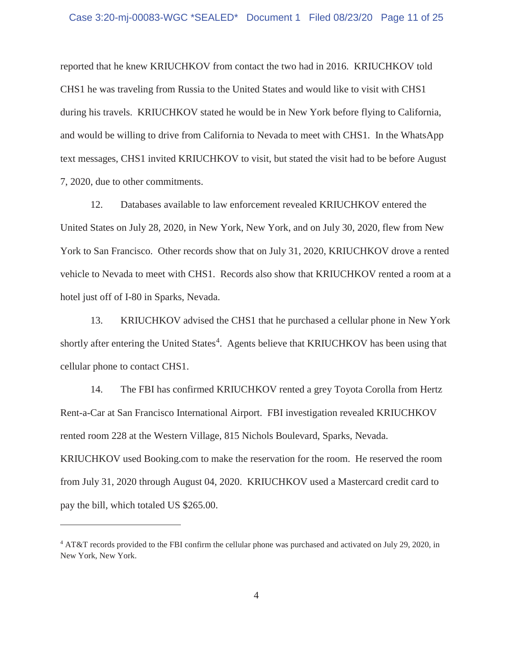reported that he knew KRIUCHKOV from contact the two had in 2016. KRIUCHKOV told CHS1 he was traveling from Russia to the United States and would like to visit with CHS1 during his travels. KRIUCHKOV stated he would be in New York before flying to California, and would be willing to drive from California to Nevada to meet with CHS1. In the WhatsApp text messages, CHS1 invited KRIUCHKOV to visit, but stated the visit had to be before August 7, 2020, due to other commitments.

12. Databases available to law enforcement revealed KRIUCHKOV entered the United States on July 28, 2020, in New York, New York, and on July 30, 2020, flew from New York to San Francisco. Other records show that on July 31, 2020, KRIUCHKOV drove a rented vehicle to Nevada to meet with CHS1. Records also show that KRIUCHKOV rented a room at a hotel just off of I-80 in Sparks, Nevada.

13. KRIUCHKOV advised the CHS1 that he purchased a cellular phone in New York shortly after entering the United States<sup>4</sup>. Agents believe that KRIUCHKOV has been using that cellular phone to contact CHS1.

14. The FBI has confirmed KRIUCHKOV rented a grey Toyota Corolla from Hertz Rent-a-Car at San Francisco International Airport. FBI investigation revealed KRIUCHKOV rented room 228 at the Western Village, 815 Nichols Boulevard, Sparks, Nevada. KRIUCHKOV used [Booking.com](https://Booking.com) to make the reservation for the room. He reserved the room from July 31, 2020 through August 04, 2020. KRIUCHKOV used a Mastercard credit card to pay the bill, which totaled US \$265.00.

<sup>4</sup> AT&T records provided to the FBI confirm the cellular phone was purchased and activated on July 29, 2020, in New York, New York.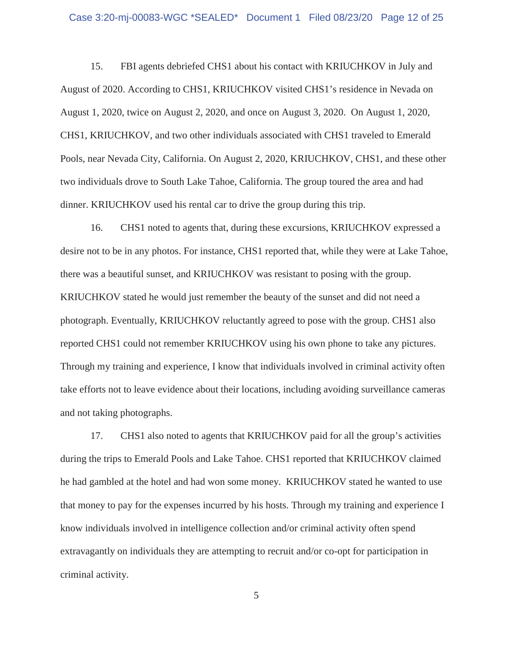### Case 3:20-mj-00083-WGC \*SEALED\* Document 1 Filed 08/23/20 Page 12 of 25

15. FBI agents debriefed CHS1 about his contact with KRIUCHKOV in July and August of 2020. According to CHS1, KRIUCHKOV visited CHS1's residence in Nevada on August 1, 2020, twice on August 2, 2020, and once on August 3, 2020. On August 1, 2020, CHS1, KRIUCHKOV, and two other individuals associated with CHS1 traveled to Emerald Pools, near Nevada City, California. On August 2, 2020, KRIUCHKOV, CHS1, and these other two individuals drove to South Lake Tahoe, California. The group toured the area and had dinner. KRIUCHKOV used his rental car to drive the group during this trip.

16. CHS1 noted to agents that, during these excursions, KRIUCHKOV expressed a desire not to be in any photos. For instance, CHS1 reported that, while they were at Lake Tahoe, there was a beautiful sunset, and KRIUCHKOV was resistant to posing with the group. KRIUCHKOV stated he would just remember the beauty of the sunset and did not need a photograph. Eventually, KRIUCHKOV reluctantly agreed to pose with the group. CHS1 also reported CHS1 could not remember KRIUCHKOV using his own phone to take any pictures. Through my training and experience, I know that individuals involved in criminal activity often take efforts not to leave evidence about their locations, including avoiding surveillance cameras and not taking photographs.

 he had gambled at the hotel and had won some money. KRIUCHKOV stated he wanted to use extravagantly on individuals they are attempting to recruit and/or co-opt for participation in 17. CHS1 also noted to agents that KRIUCHKOV paid for all the group's activities during the trips to Emerald Pools and Lake Tahoe. CHS1 reported that KRIUCHKOV claimed that money to pay for the expenses incurred by his hosts. Through my training and experience I know individuals involved in intelligence collection and/or criminal activity often spend criminal activity.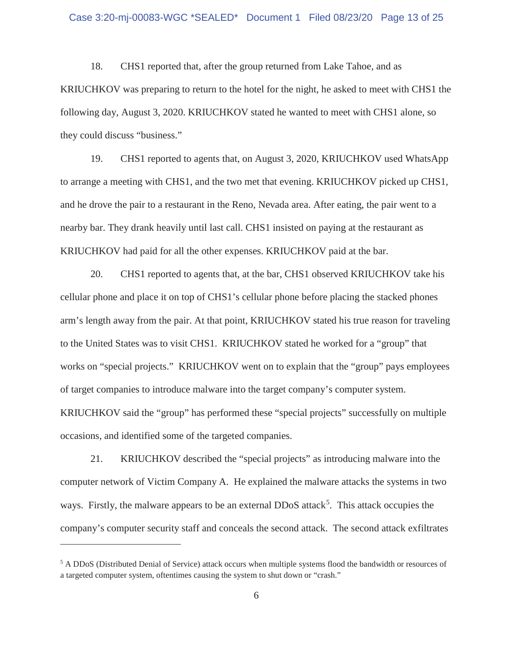18. CHS1 reported that, after the group returned from Lake Tahoe, and as KRIUCHKOV was preparing to return to the hotel for the night, he asked to meet with CHS1 the following day, August 3, 2020. KRIUCHKOV stated he wanted to meet with CHS1 alone, so they could discuss "business."

19. CHS1 reported to agents that, on August 3, 2020, KRIUCHKOV used WhatsApp to arrange a meeting with CHS1, and the two met that evening. KRIUCHKOV picked up CHS1, and he drove the pair to a restaurant in the Reno, Nevada area. After eating, the pair went to a nearby bar. They drank heavily until last call. CHS1 insisted on paying at the restaurant as KRIUCHKOV had paid for all the other expenses. KRIUCHKOV paid at the bar.

20. CHS1 reported to agents that, at the bar, CHS1 observed KRIUCHKOV take his cellular phone and place it on top of CHS1's cellular phone before placing the stacked phones arm's length away from the pair. At that point, KRIUCHKOV stated his true reason for traveling to the United States was to visit CHS1. KRIUCHKOV stated he worked for a "group" that works on "special projects." KRIUCHKOV went on to explain that the "group" pays employees of target companies to introduce malware into the target company's computer system. KRIUCHKOV said the "group" has performed these "special projects" successfully on multiple occasions, and identified some of the targeted companies.

21. KRIUCHKOV described the "special projects" as introducing malware into the computer network of Victim Company A. He explained the malware attacks the systems in two ways. Firstly, the malware appears to be an external DDoS attack<sup>5</sup>. This attack occupies the company's computer security staff and conceals the second attack. The second attack exfiltrates

<sup>&</sup>lt;sup>5</sup> A DDoS (Distributed Denial of Service) attack occurs when multiple systems flood the bandwidth or resources of a targeted computer system, oftentimes causing the system to shut down or "crash."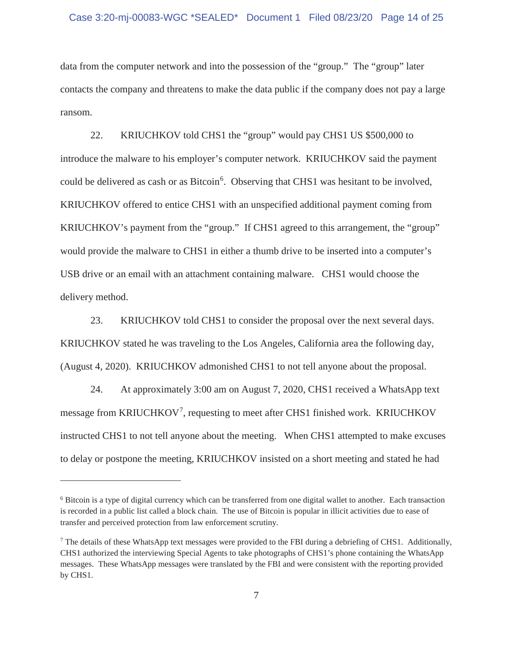data from the computer network and into the possession of the "group." The "group" later contacts the company and threatens to make the data public if the company does not pay a large ransom.

22. KRIUCHKOV told CHS1 the "group" would pay CHS1 US \$500,000 to introduce the malware to his employer's computer network. KRIUCHKOV said the payment could be delivered as cash or as Bitcoin<sup>6</sup>. Observing that CHS1 was hesitant to be involved, KRIUCHKOV offered to entice CHS1 with an unspecified additional payment coming from KRIUCHKOV's payment from the "group." If CHS1 agreed to this arrangement, the "group" would provide the malware to CHS1 in either a thumb drive to be inserted into a computer's USB drive or an email with an attachment containing malware. CHS1 would choose the delivery method.

23. KRIUCHKOV told CHS1 to consider the proposal over the next several days. KRIUCHKOV stated he was traveling to the Los Angeles, California area the following day, (August 4, 2020). KRIUCHKOV admonished CHS1 to not tell anyone about the proposal.

24. At approximately 3:00 am on August 7, 2020, CHS1 received a WhatsApp text message from KRIUCHKOV<sup>7</sup>, requesting to meet after CHS1 finished work. KRIUCHKOV instructed CHS1 to not tell anyone about the meeting. When CHS1 attempted to make excuses to delay or postpone the meeting, KRIUCHKOV insisted on a short meeting and stated he had

transfer and perceived protection from law enforcement scrutiny. 6 Bitcoin is a type of digital currency which can be transferred from one digital wallet to another. Each transaction is recorded in a public list called a block chain. The use of Bitcoin is popular in illicit activities due to ease of

<sup>&</sup>lt;sup>7</sup> The details of these WhatsApp text messages were provided to the FBI during a debriefing of CHS1. Additionally, CHS1 authorized the interviewing Special Agents to take photographs of CHS1's phone containing the WhatsApp messages. These WhatsApp messages were translated by the FBI and were consistent with the reporting provided by CHS1.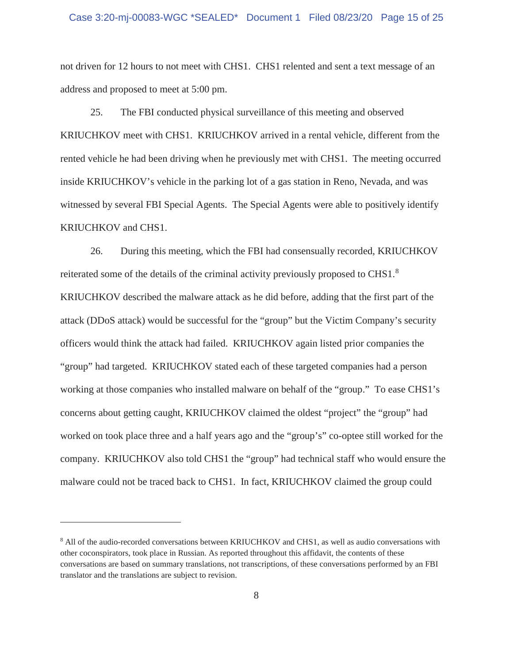### Case 3:20-mj-00083-WGC \*SEALED\* Document 1 Filed 08/23/20 Page 15 of 25

not driven for 12 hours to not meet with CHS1. CHS1 relented and sent a text message of an address and proposed to meet at 5:00 pm.

25. The FBI conducted physical surveillance of this meeting and observed KRIUCHKOV meet with CHS1. KRIUCHKOV arrived in a rental vehicle, different from the rented vehicle he had been driving when he previously met with CHS1. The meeting occurred inside KRIUCHKOV's vehicle in the parking lot of a gas station in Reno, Nevada, and was witnessed by several FBI Special Agents. The Special Agents were able to positively identify KRIUCHKOV and CHS1.

 malware could not be traced back to CHS1. In fact, KRIUCHKOV claimed the group could 26. During this meeting, which the FBI had consensually recorded, KRIUCHKOV reiterated some of the details of the criminal activity previously proposed to CHS1.<sup>8</sup> KRIUCHKOV described the malware attack as he did before, adding that the first part of the attack (DDoS attack) would be successful for the "group" but the Victim Company's security officers would think the attack had failed. KRIUCHKOV again listed prior companies the "group" had targeted. KRIUCHKOV stated each of these targeted companies had a person working at those companies who installed malware on behalf of the "group." To ease CHS1's concerns about getting caught, KRIUCHKOV claimed the oldest "project" the "group" had worked on took place three and a half years ago and the "group's" co-optee still worked for the company. KRIUCHKOV also told CHS1 the "group" had technical staff who would ensure the

<sup>&</sup>lt;sup>8</sup> All of the audio-recorded conversations between KRIUCHKOV and CHS1, as well as audio conversations with other coconspirators, took place in Russian. As reported throughout this affidavit, the contents of these conversations are based on summary translations, not transcriptions, of these conversations performed by an FBI translator and the translations are subject to revision.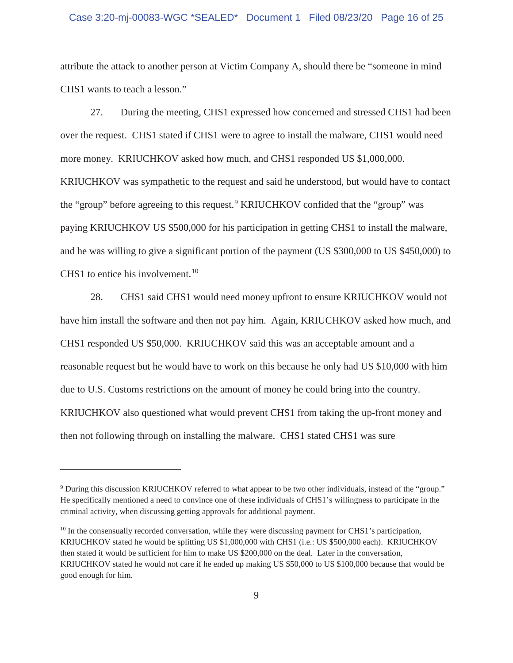### Case 3:20-mj-00083-WGC \*SEALED\* Document 1 Filed 08/23/20 Page 16 of 25

attribute the attack to another person at Victim Company A, should there be "someone in mind CHS1 wants to teach a lesson."

27. During the meeting, CHS1 expressed how concerned and stressed CHS1 had been over the request. CHS1 stated if CHS1 were to agree to install the malware, CHS1 would need more money. KRIUCHKOV asked how much, and CHS1 responded US \$1,000,000. KRIUCHKOV was sympathetic to the request and said he understood, but would have to contact the "group" before agreeing to this request.<sup>9</sup> KRIUCHKOV confided that the "group" was paying KRIUCHKOV US \$500,000 for his participation in getting CHS1 to install the malware, and he was willing to give a significant portion of the payment (US \$300,000 to US \$450,000) to CHS1 to entice his [involvement.](https://involvement.10)<sup>10</sup>

28. CHS1 said CHS1 would need money upfront to ensure KRIUCHKOV would not have him install the software and then not pay him. Again, KRIUCHKOV asked how much, and CHS1 responded US \$50,000. KRIUCHKOV said this was an acceptable amount and a reasonable request but he would have to work on this because he only had US \$10,000 with him due to U.S. Customs restrictions on the amount of money he could bring into the country. KRIUCHKOV also questioned what would prevent CHS1 from taking the up-front money and then not following through on installing the malware. CHS1 stated CHS1 was sure

 He specifically mentioned a need to convince one of these individuals of CHS1's willingness to participate in the 9 During this discussion KRIUCHKOV referred to what appear to be two other individuals, instead of the "group." criminal activity, when discussing getting approvals for additional payment.

 $10$  In the consensually recorded conversation, while they were discussing payment for CHS1's participation, KRIUCHKOV stated he would be splitting US \$1,000,000 with CHS1 (i.e.: US \$500,000 each). KRIUCHKOV then stated it would be sufficient for him to make US \$200,000 on the deal. Later in the conversation, KRIUCHKOV stated he would not care if he ended up making US \$50,000 to US \$100,000 because that would be good enough for him.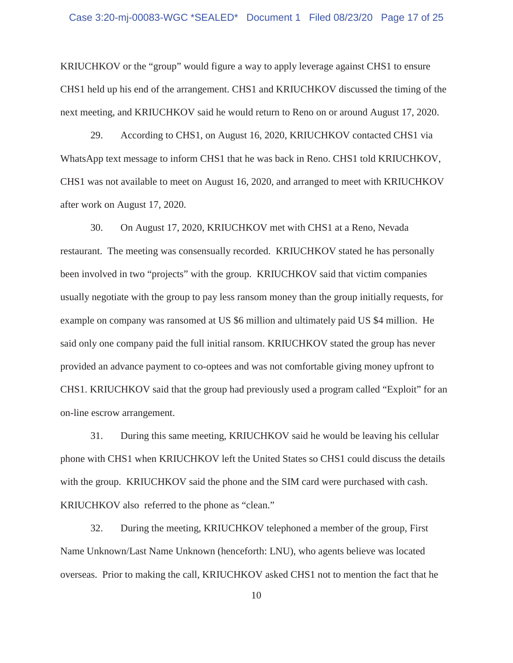### Case 3:20-mj-00083-WGC \*SEALED\* Document 1 Filed 08/23/20 Page 17 of 25

KRIUCHKOV or the "group" would figure a way to apply leverage against CHS1 to ensure CHS1 held up his end of the arrangement. CHS1 and KRIUCHKOV discussed the timing of the next meeting, and KRIUCHKOV said he would return to Reno on or around August 17, 2020.

29. According to CHS1, on August 16, 2020, KRIUCHKOV contacted CHS1 via WhatsApp text message to inform CHS1 that he was back in Reno. CHS1 told KRIUCHKOV, CHS1 was not available to meet on August 16, 2020, and arranged to meet with KRIUCHKOV after work on August 17, 2020.

30. On August 17, 2020, KRIUCHKOV met with CHS1 at a Reno, Nevada restaurant. The meeting was consensually recorded. KRIUCHKOV stated he has personally been involved in two "projects" with the group. KRIUCHKOV said that victim companies usually negotiate with the group to pay less ransom money than the group initially requests, for example on company was ransomed at US \$6 million and ultimately paid US \$4 million. He said only one company paid the full initial ransom. KRIUCHKOV stated the group has never provided an advance payment to co-optees and was not comfortable giving money upfront to CHS1. KRIUCHKOV said that the group had previously used a program called "Exploit" for an on-line escrow arrangement.

31. During this same meeting, KRIUCHKOV said he would be leaving his cellular phone with CHS1 when KRIUCHKOV left the United States so CHS1 could discuss the details with the group. KRIUCHKOV said the phone and the SIM card were purchased with cash. KRIUCHKOV also referred to the phone as "clean."

32. During the meeting, KRIUCHKOV telephoned a member of the group, First Name Unknown/Last Name Unknown (henceforth: LNU), who agents believe was located overseas. Prior to making the call, KRIUCHKOV asked CHS1 not to mention the fact that he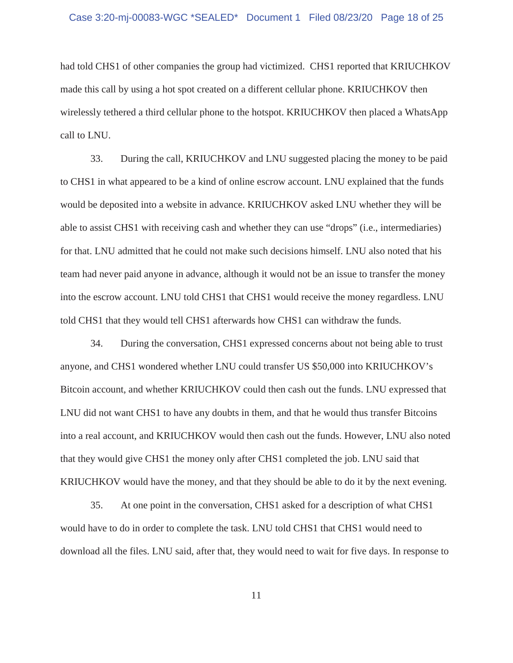### Case 3:20-mj-00083-WGC \*SEALED\* Document 1 Filed 08/23/20 Page 18 of 25

had told CHS1 of other companies the group had victimized. CHS1 reported that KRIUCHKOV made this call by using a hot spot created on a different cellular phone. KRIUCHKOV then wirelessly tethered a third cellular phone to the hotspot. KRIUCHKOV then placed a WhatsApp call to LNU.

33. During the call, KRIUCHKOV and LNU suggested placing the money to be paid to CHS1 in what appeared to be a kind of online escrow account. LNU explained that the funds would be deposited into a website in advance. KRIUCHKOV asked LNU whether they will be able to assist CHS1 with receiving cash and whether they can use "drops" (i.e., intermediaries) for that. LNU admitted that he could not make such decisions himself. LNU also noted that his team had never paid anyone in advance, although it would not be an issue to transfer the money into the escrow account. LNU told CHS1 that CHS1 would receive the money regardless. LNU told CHS1 that they would tell CHS1 afterwards how CHS1 can withdraw the funds.

34. During the conversation, CHS1 expressed concerns about not being able to trust anyone, and CHS1 wondered whether LNU could transfer US \$50,000 into KRIUCHKOV's Bitcoin account, and whether KRIUCHKOV could then cash out the funds. LNU expressed that LNU did not want CHS1 to have any doubts in them, and that he would thus transfer Bitcoins into a real account, and KRIUCHKOV would then cash out the funds. However, LNU also noted that they would give CHS1 the money only after CHS1 completed the job. LNU said that KRIUCHKOV would have the money, and that they should be able to do it by the next evening.

35. At one point in the conversation, CHS1 asked for a description of what CHS1 would have to do in order to complete the task. LNU told CHS1 that CHS1 would need to download all the files. LNU said, after that, they would need to wait for five days. In response to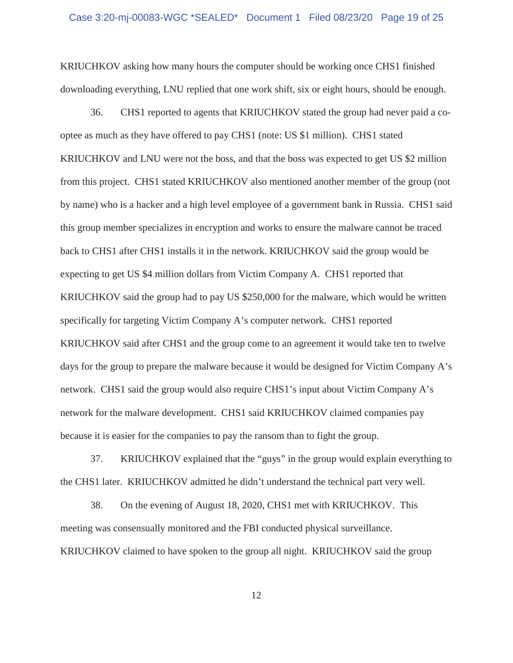downloading everything, LNU replied that one work shift, six or eight hours, should be enough. KRIUCHKOV asking how many hours the computer should be working once CHS1 finished

36. CHS1 reported to agents that KRIUCHKOV stated the group had never paid a cooptee as much as they have offered to pay CHS1 (note: US \$1 million). CHS1 stated KRIUCHKOV and LNU were not the boss, and that the boss was expected to get US \$2 million from this project. CHS1 stated KRIUCHKOV also mentioned another member of the group (not by name) who is a hacker and a high level employee of a government bank in Russia. CHS1 said this group member specializes in encryption and works to ensure the malware cannot be traced back to CHS1 after CHS1 installs it in the network. KRIUCHKOV said the group would be expecting to get US \$4 million dollars from Victim Company A. CHS1 reported that KRIUCHKOV said the group had to pay US \$250,000 for the malware, which would be written specifically for targeting Victim Company A's computer network. CHS1 reported KRIUCHKOV said after CHS1 and the group come to an agreement it would take ten to twelve days for the group to prepare the malware because it would be designed for Victim Company A's network. CHS1 said the group would also require CHS1's input about Victim Company A's network for the malware development. CHS1 said KRIUCHKOV claimed companies pay because it is easier for the companies to pay the ransom than to fight the group.

37. KRIUCHKOV explained that the "guys" in the group would explain everything to the CHS1 later. KRIUCHKOV admitted he didn't understand the technical part very well.

38. On the evening of August 18, 2020, CHS1 met with KRIUCHKOV. This meeting was consensually monitored and the FBI conducted physical surveillance. KRIUCHKOV claimed to have spoken to the group all night. KRIUCHKOV said the group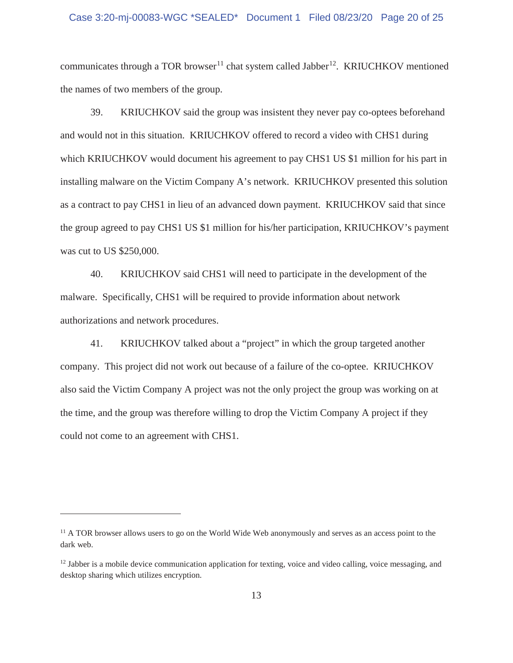communicates through a TOR browser<sup>11</sup> chat system called Jabber<sup>12</sup>. KRIUCHKOV mentioned the names of two members of the group.

39. KRIUCHKOV said the group was insistent they never pay co-optees beforehand and would not in this situation. KRIUCHKOV offered to record a video with CHS1 during which KRIUCHKOV would document his agreement to pay CHS1 US \$1 million for his part in installing malware on the Victim Company A's network. KRIUCHKOV presented this solution as a contract to pay CHS1 in lieu of an advanced down payment. KRIUCHKOV said that since the group agreed to pay CHS1 US \$1 million for his/her participation, KRIUCHKOV's payment was cut to US \$250,000.

40. KRIUCHKOV said CHS1 will need to participate in the development of the malware. Specifically, CHS1 will be required to provide information about network authorizations and network procedures.

 also said the Victim Company A project was not the only project the group was working on at 41. KRIUCHKOV talked about a "project" in which the group targeted another company. This project did not work out because of a failure of the co-optee. KRIUCHKOV the time, and the group was therefore willing to drop the Victim Company A project if they could not come to an agreement with CHS1.

<sup>&</sup>lt;sup>11</sup> A TOR browser allows users to go on the World Wide Web anonymously and serves as an access point to the dark web.

 $12$  Jabber is a mobile device communication application for texting, voice and video calling, voice messaging, and desktop sharing which utilizes encryption.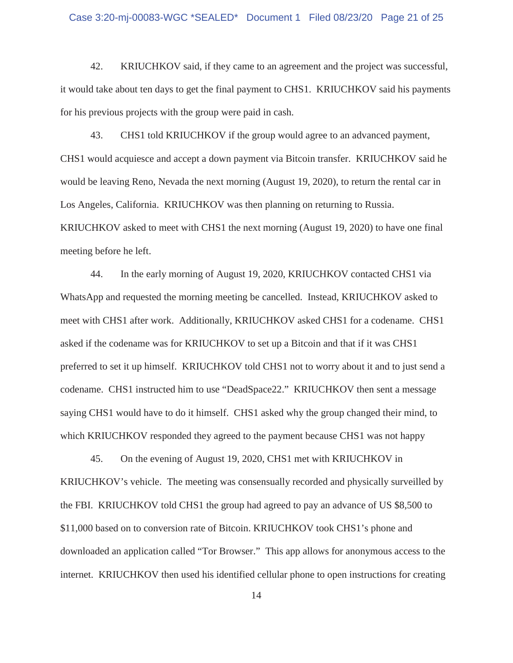### Case 3:20-mj-00083-WGC \*SEALED\* Document 1 Filed 08/23/20 Page 21 of 25

42. KRIUCHKOV said, if they came to an agreement and the project was successful, it would take about ten days to get the final payment to CHS1. KRIUCHKOV said his payments for his previous projects with the group were paid in cash.

43. CHS1 told KRIUCHKOV if the group would agree to an advanced payment, CHS1 would acquiesce and accept a down payment via Bitcoin transfer. KRIUCHKOV said he would be leaving Reno, Nevada the next morning (August 19, 2020), to return the rental car in Los Angeles, California. KRIUCHKOV was then planning on returning to Russia. KRIUCHKOV asked to meet with CHS1 the next morning (August 19, 2020) to have one final meeting before he left.

which KRIUCHKOV responded they agreed to the payment because CHS1 was not happy 45. On the evening of August 19, 2020, CHS1 met with KRIUCHKOV in 44. In the early morning of August 19, 2020, KRIUCHKOV contacted CHS1 via WhatsApp and requested the morning meeting be cancelled. Instead, KRIUCHKOV asked to meet with CHS1 after work. Additionally, KRIUCHKOV asked CHS1 for a codename. CHS1 asked if the codename was for KRIUCHKOV to set up a Bitcoin and that if it was CHS1 preferred to set it up himself. KRIUCHKOV told CHS1 not to worry about it and to just send a codename. CHS1 instructed him to use "DeadSpace22." KRIUCHKOV then sent a message saying CHS1 would have to do it himself. CHS1 asked why the group changed their mind, to

KRIUCHKOV's vehicle. The meeting was consensually recorded and physically surveilled by the FBI. KRIUCHKOV told CHS1 the group had agreed to pay an advance of US \$8,500 to \$11,000 based on to conversion rate of Bitcoin. KRIUCHKOV took CHS1's phone and downloaded an application called "Tor Browser." This app allows for anonymous access to the internet. KRIUCHKOV then used his identified cellular phone to open instructions for creating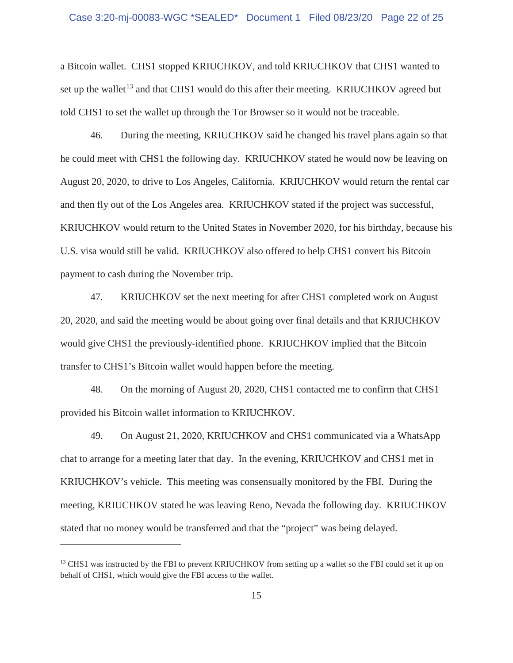### Case 3:20-mj-00083-WGC \*SEALED\* Document 1 Filed 08/23/20 Page 22 of 25

a Bitcoin wallet. CHS1 stopped KRIUCHKOV, and told KRIUCHKOV that CHS1 wanted to set up the wallet<sup>13</sup> and that CHS1 would do this after their meeting. KRIUCHKOV agreed but told CHS1 to set the wallet up through the Tor Browser so it would not be traceable.

46. During the meeting, KRIUCHKOV said he changed his travel plans again so that he could meet with CHS1 the following day. KRIUCHKOV stated he would now be leaving on August 20, 2020, to drive to Los Angeles, California. KRIUCHKOV would return the rental car and then fly out of the Los Angeles area. KRIUCHKOV stated if the project was successful, KRIUCHKOV would return to the United States in November 2020, for his birthday, because his U.S. visa would still be valid. KRIUCHKOV also offered to help CHS1 convert his Bitcoin payment to cash during the November trip.

47. KRIUCHKOV set the next meeting for after CHS1 completed work on August 20, 2020, and said the meeting would be about going over final details and that KRIUCHKOV would give CHS1 the previously-identified phone. KRIUCHKOV implied that the Bitcoin transfer to CHS1's Bitcoin wallet would happen before the meeting.

48. On the morning of August 20, 2020, CHS1 contacted me to confirm that CHS1 provided his Bitcoin wallet information to KRIUCHKOV.

 chat to arrange for a meeting later that day. In the evening, KRIUCHKOV and CHS1 met in meeting, KRIUCHKOV stated he was leaving Reno, Nevada the following day. KRIUCHKOV 49. On August 21, 2020, KRIUCHKOV and CHS1 communicated via a WhatsApp KRIUCHKOV's vehicle. This meeting was consensually monitored by the FBI. During the stated that no money would be transferred and that the "project" was being delayed.

<sup>&</sup>lt;sup>13</sup> CHS1 was instructed by the FBI to prevent KRIUCHKOV from setting up a wallet so the FBI could set it up on behalf of CHS1, which would give the FBI access to the wallet.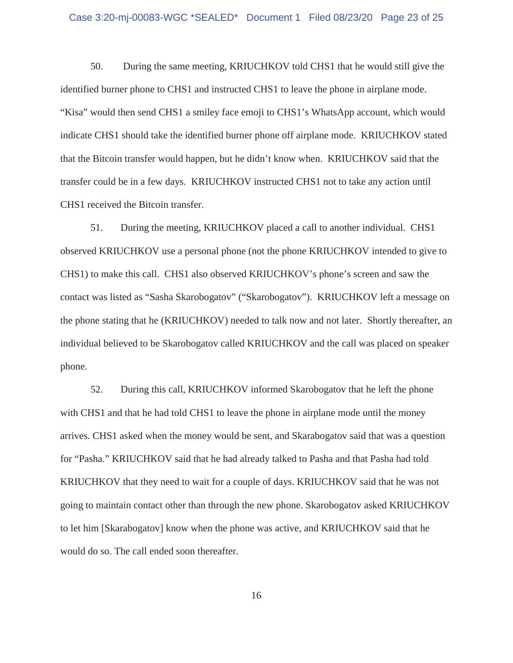### Case 3:20-mj-00083-WGC \*SEALED\* Document 1 Filed 08/23/20 Page 23 of 25

50. During the same meeting, KRIUCHKOV told CHS1 that he would still give the identified burner phone to CHS1 and instructed CHS1 to leave the phone in airplane mode. "Kisa" would then send CHS1 a smiley face emoji to CHS1's WhatsApp account, which would indicate CHS1 should take the identified burner phone off airplane mode. KRIUCHKOV stated that the Bitcoin transfer would happen, but he didn't know when. KRIUCHKOV said that the transfer could be in a few days. KRIUCHKOV instructed CHS1 not to take any action until CHS1 received the Bitcoin transfer.

51. During the meeting, KRIUCHKOV placed a call to another individual. CHS1 observed KRIUCHKOV use a personal phone (not the phone KRIUCHKOV intended to give to CHS1) to make this call. CHS1 also observed KRIUCHKOV's phone's screen and saw the contact was listed as "Sasha Skarobogatov" ("Skarobogatov"). KRIUCHKOV left a message on the phone stating that he (KRIUCHKOV) needed to talk now and not later. Shortly thereafter, an individual believed to be Skarobogatov called KRIUCHKOV and the call was placed on speaker phone.

52. During this call, KRIUCHKOV informed Skarobogatov that he left the phone with CHS1 and that he had told CHS1 to leave the phone in airplane mode until the money arrives. CHS1 asked when the money would be sent, and Skarabogatov said that was a question for "Pasha." KRIUCHKOV said that he had already talked to Pasha and that Pasha had told KRIUCHKOV that they need to wait for a couple of days. KRIUCHKOV said that he was not going to maintain contact other than through the new phone. Skarobogatov asked KRIUCHKOV to let him [Skarabogatov] know when the phone was active, and KRIUCHKOV said that he would do so. The call ended soon thereafter.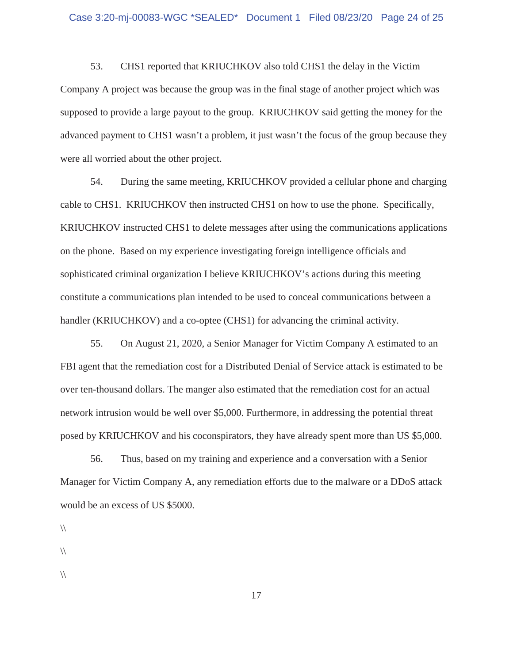53. CHS1 reported that KRIUCHKOV also told CHS1 the delay in the Victim Company A project was because the group was in the final stage of another project which was supposed to provide a large payout to the group. KRIUCHKOV said getting the money for the advanced payment to CHS1 wasn't a problem, it just wasn't the focus of the group because they were all worried about the other project.

54. During the same meeting, KRIUCHKOV provided a cellular phone and charging cable to CHS1. KRIUCHKOV then instructed CHS1 on how to use the phone. Specifically, KRIUCHKOV instructed CHS1 to delete messages after using the communications applications on the phone. Based on my experience investigating foreign intelligence officials and sophisticated criminal organization I believe KRIUCHKOV's actions during this meeting constitute a communications plan intended to be used to conceal communications between a handler (KRIUCHKOV) and a co-optee (CHS1) for advancing the criminal activity.

55. On August 21, 2020, a Senior Manager for Victim Company A estimated to an FBI agent that the remediation cost for a Distributed Denial of Service attack is estimated to be over ten-thousand dollars. The manger also estimated that the remediation cost for an actual network intrusion would be well over \$5,000. Furthermore, in addressing the potential threat posed by KRIUCHKOV and his coconspirators, they have already spent more than US \$5,000.

56. Thus, based on my training and experience and a conversation with a Senior Manager for Victim Company A, any remediation efforts due to the malware or a DDoS attack would be an excess of US \$5000.

- $\sqrt{ }$
- $\sqrt{ }$
- 
- $\sqrt{ }$